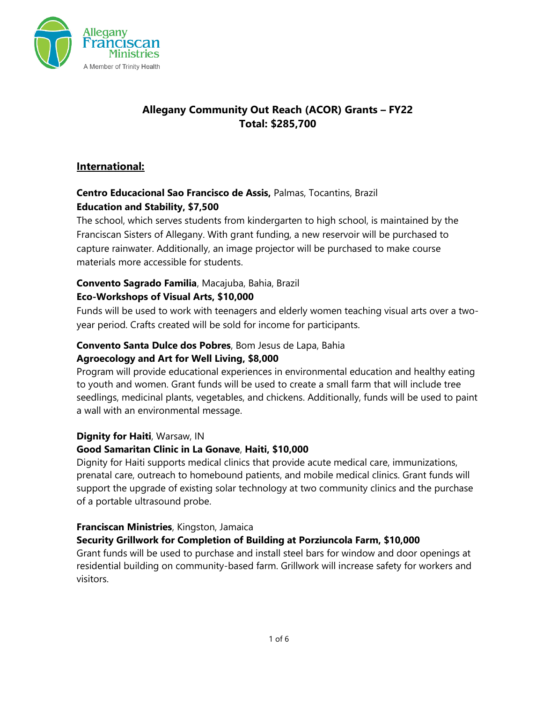

# **Allegany Community Out Reach (ACOR) Grants – FY22 Total: \$285,700**

## **International:**

## **Centro Educacional Sao Francisco de Assis,** Palmas, Tocantins, Brazil **Education and Stability, \$7,500**

The school, which serves students from kindergarten to high school, is maintained by the Franciscan Sisters of Allegany. With grant funding, a new reservoir will be purchased to capture rainwater. Additionally, an image projector will be purchased to make course materials more accessible for students.

## **Convento Sagrado Familia**, Macajuba, Bahia, Brazil

## **Eco-Workshops of Visual Arts, \$10,000**

Funds will be used to work with teenagers and elderly women teaching visual arts over a twoyear period. Crafts created will be sold for income for participants.

## **Convento Santa Dulce dos Pobres**, Bom Jesus de Lapa, Bahia **Agroecology and Art for Well Living, \$8,000**

Program will provide educational experiences in environmental education and healthy eating to youth and women. Grant funds will be used to create a small farm that will include tree seedlings, medicinal plants, vegetables, and chickens. Additionally, funds will be used to paint a wall with an environmental message.

#### **Dignity for Haiti**, Warsaw, IN

#### **Good Samaritan Clinic in La Gonave**, **Haiti, \$10,000**

Dignity for Haiti supports medical clinics that provide acute medical care, immunizations, prenatal care, outreach to homebound patients, and mobile medical clinics. Grant funds will support the upgrade of existing solar technology at two community clinics and the purchase of a portable ultrasound probe.

#### **Franciscan Ministries**, Kingston, Jamaica

## **Security Grillwork for Completion of Building at Porziuncola Farm, \$10,000**

Grant funds will be used to purchase and install steel bars for window and door openings at residential building on community-based farm. Grillwork will increase safety for workers and visitors.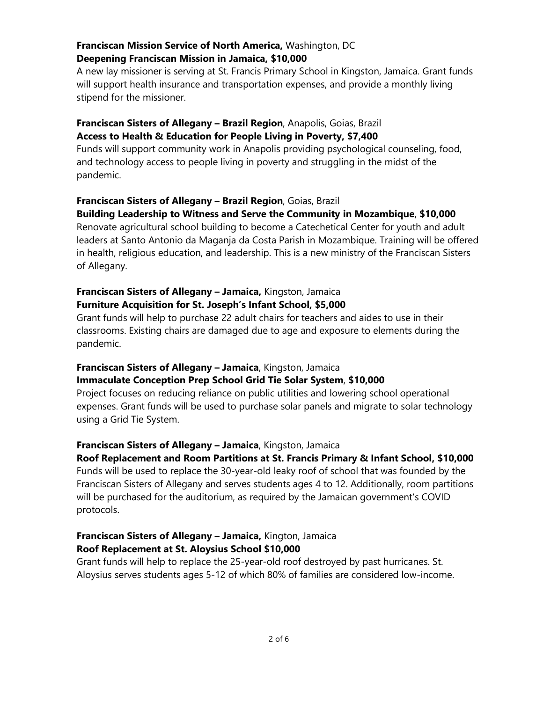## **Franciscan Mission Service of North America,** Washington, DC **Deepening Franciscan Mission in Jamaica, \$10,000**

A new lay missioner is serving at St. Francis Primary School in Kingston, Jamaica. Grant funds will support health insurance and transportation expenses, and provide a monthly living stipend for the missioner.

## **Franciscan Sisters of Allegany – Brazil Region**, Anapolis, Goias, Brazil **Access to Health & Education for People Living in Poverty, \$7,400**

Funds will support community work in Anapolis providing psychological counseling, food, and technology access to people living in poverty and struggling in the midst of the pandemic.

#### **Franciscan Sisters of Allegany – Brazil Region**, Goias, Brazil **Building Leadership to Witness and Serve the Community in Mozambique**, **\$10,000**

Renovate agricultural school building to become a Catechetical Center for youth and adult leaders at Santo Antonio da Maganja da Costa Parish in Mozambique. Training will be offered in health, religious education, and leadership. This is a new ministry of the Franciscan Sisters of Allegany.

#### **Franciscan Sisters of Allegany – Jamaica,** Kingston, Jamaica **Furniture Acquisition for St. Joseph's Infant School, \$5,000**

Grant funds will help to purchase 22 adult chairs for teachers and aides to use in their classrooms. Existing chairs are damaged due to age and exposure to elements during the pandemic.

## **Franciscan Sisters of Allegany – Jamaica**, Kingston, Jamaica **Immaculate Conception Prep School Grid Tie Solar System**, **\$10,000**

Project focuses on reducing reliance on public utilities and lowering school operational expenses. Grant funds will be used to purchase solar panels and migrate to solar technology using a Grid Tie System.

## **Franciscan Sisters of Allegany – Jamaica**, Kingston, Jamaica

**Roof Replacement and Room Partitions at St. Francis Primary & Infant School, \$10,000** Funds will be used to replace the 30-year-old leaky roof of school that was founded by the Franciscan Sisters of Allegany and serves students ages 4 to 12. Additionally, room partitions will be purchased for the auditorium, as required by the Jamaican government's COVID protocols.

# **Franciscan Sisters of Allegany – Jamaica,** Kington, Jamaica **Roof Replacement at St. Aloysius School \$10,000**

Grant funds will help to replace the 25-year-old roof destroyed by past hurricanes. St. Aloysius serves students ages 5-12 of which 80% of families are considered low-income.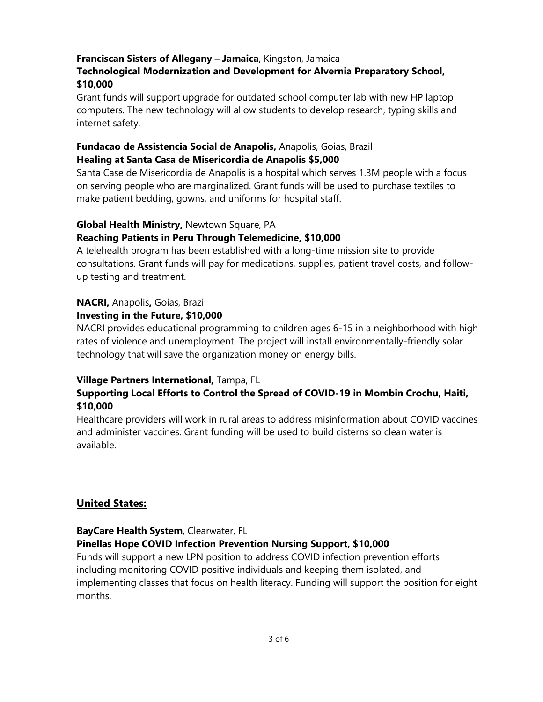#### **Franciscan Sisters of Allegany – Jamaica**, Kingston, Jamaica

#### **Technological Modernization and Development for Alvernia Preparatory School, \$10,000**

Grant funds will support upgrade for outdated school computer lab with new HP laptop computers. The new technology will allow students to develop research, typing skills and internet safety.

#### **Fundacao de Assistencia Social de Anapolis,** Anapolis, Goias, Brazil **Healing at Santa Casa de Misericordia de Anapolis \$5,000**

Santa Case de Misericordia de Anapolis is a hospital which serves 1.3M people with a focus on serving people who are marginalized. Grant funds will be used to purchase textiles to make patient bedding, gowns, and uniforms for hospital staff.

#### **Global Health Ministry,** Newtown Square, PA

#### **Reaching Patients in Peru Through Telemedicine, \$10,000**

A telehealth program has been established with a long-time mission site to provide consultations. Grant funds will pay for medications, supplies, patient travel costs, and followup testing and treatment.

# **NACRI,** Anapolis**,** Goias, Brazil

#### **Investing in the Future, \$10,000**

NACRI provides educational programming to children ages 6-15 in a neighborhood with high rates of violence and unemployment. The project will install environmentally-friendly solar technology that will save the organization money on energy bills.

#### **Village Partners International,** Tampa, FL

## **Supporting Local Efforts to Control the Spread of COVID-19 in Mombin Crochu, Haiti, \$10,000**

Healthcare providers will work in rural areas to address misinformation about COVID vaccines and administer vaccines. Grant funding will be used to build cisterns so clean water is available.

#### **United States:**

#### **BayCare Health System**, Clearwater, FL

#### **Pinellas Hope COVID Infection Prevention Nursing Support, \$10,000**

Funds will support a new LPN position to address COVID infection prevention efforts including monitoring COVID positive individuals and keeping them isolated, and implementing classes that focus on health literacy. Funding will support the position for eight months.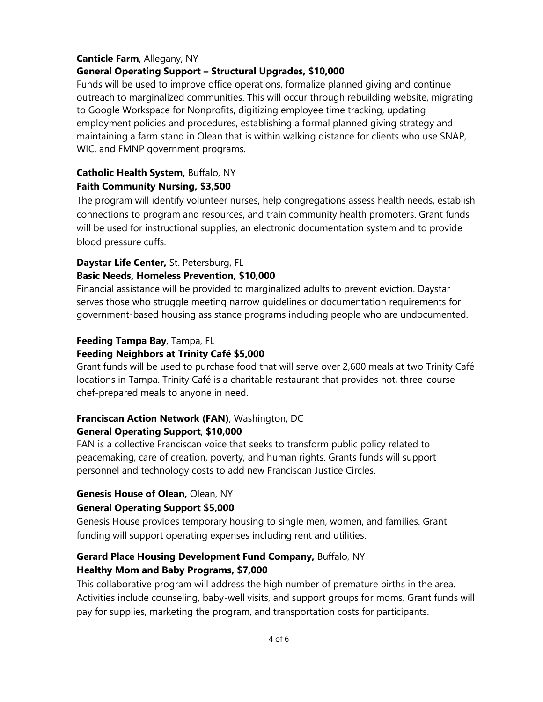#### **Canticle Farm**, Allegany, NY

#### **General Operating Support – Structural Upgrades, \$10,000**

Funds will be used to improve office operations, formalize planned giving and continue outreach to marginalized communities. This will occur through rebuilding website, migrating to Google Workspace for Nonprofits, digitizing employee time tracking, updating employment policies and procedures, establishing a formal planned giving strategy and maintaining a farm stand in Olean that is within walking distance for clients who use SNAP, WIC, and FMNP government programs.

# **Catholic Health System,** Buffalo, NY

#### **Faith Community Nursing, \$3,500**

The program will identify volunteer nurses, help congregations assess health needs, establish connections to program and resources, and train community health promoters. Grant funds will be used for instructional supplies, an electronic documentation system and to provide blood pressure cuffs.

# **Daystar Life Center,** St. Petersburg, FL

#### **Basic Needs, Homeless Prevention, \$10,000**

Financial assistance will be provided to marginalized adults to prevent eviction. Daystar serves those who struggle meeting narrow guidelines or documentation requirements for government-based housing assistance programs including people who are undocumented.

#### **Feeding Tampa Bay**, Tampa, FL

#### **Feeding Neighbors at Trinity Café \$5,000**

Grant funds will be used to purchase food that will serve over 2,600 meals at two Trinity Café locations in Tampa. Trinity Café is a charitable restaurant that provides hot, three-course chef-prepared meals to anyone in need.

## **Franciscan Action Network (FAN)**, Washington, DC **General Operating Support**, **\$10,000**

FAN is a collective Franciscan voice that seeks to transform public policy related to peacemaking, care of creation, poverty, and human rights. Grants funds will support personnel and technology costs to add new Franciscan Justice Circles.

#### **Genesis House of Olean,** Olean, NY

#### **General Operating Support \$5,000**

Genesis House provides temporary housing to single men, women, and families. Grant funding will support operating expenses including rent and utilities.

## **Gerard Place Housing Development Fund Company,** Buffalo, NY **Healthy Mom and Baby Programs, \$7,000**

This collaborative program will address the high number of premature births in the area. Activities include counseling, baby-well visits, and support groups for moms. Grant funds will pay for supplies, marketing the program, and transportation costs for participants.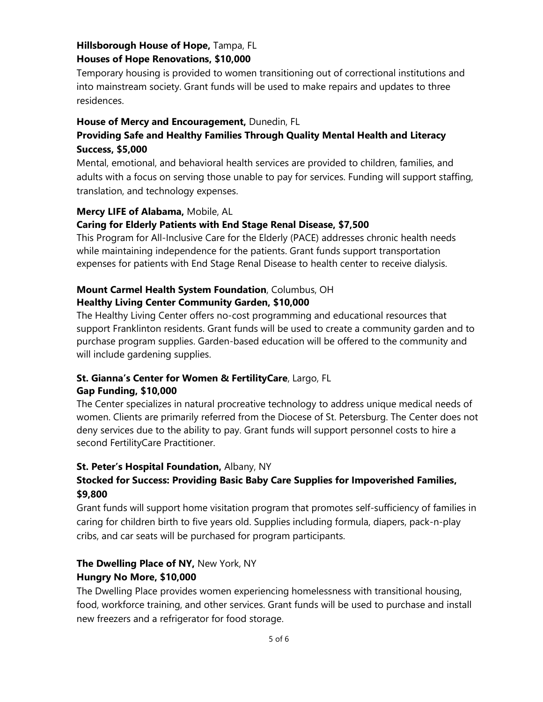# **Hillsborough House of Hope,** Tampa, FL

#### **Houses of Hope Renovations, \$10,000**

Temporary housing is provided to women transitioning out of correctional institutions and into mainstream society. Grant funds will be used to make repairs and updates to three residences.

## **House of Mercy and Encouragement,** Dunedin, FL

# **Providing Safe and Healthy Families Through Quality Mental Health and Literacy Success, \$5,000**

Mental, emotional, and behavioral health services are provided to children, families, and adults with a focus on serving those unable to pay for services. Funding will support staffing, translation, and technology expenses.

## **Mercy LIFE of Alabama,** Mobile, AL

## **Caring for Elderly Patients with End Stage Renal Disease, \$7,500**

This Program for All-Inclusive Care for the Elderly (PACE) addresses chronic health needs while maintaining independence for the patients. Grant funds support transportation expenses for patients with End Stage Renal Disease to health center to receive dialysis.

## **Mount Carmel Health System Foundation**, Columbus, OH **Healthy Living Center Community Garden, \$10,000**

The Healthy Living Center offers no-cost programming and educational resources that support Franklinton residents. Grant funds will be used to create a community garden and to purchase program supplies. Garden-based education will be offered to the community and will include gardening supplies.

## **St. Gianna's Center for Women & FertilityCare**, Largo, FL **Gap Funding, \$10,000**

The Center specializes in natural procreative technology to address unique medical needs of women. Clients are primarily referred from the Diocese of St. Petersburg. The Center does not deny services due to the ability to pay. Grant funds will support personnel costs to hire a second FertilityCare Practitioner.

## **St. Peter's Hospital Foundation,** Albany, NY

# **Stocked for Success: Providing Basic Baby Care Supplies for Impoverished Families, \$9,800**

Grant funds will support home visitation program that promotes self-sufficiency of families in caring for children birth to five years old. Supplies including formula, diapers, pack-n-play cribs, and car seats will be purchased for program participants.

# **The Dwelling Place of NY,** New York, NY

#### **Hungry No More, \$10,000**

The Dwelling Place provides women experiencing homelessness with transitional housing, food, workforce training, and other services. Grant funds will be used to purchase and install new freezers and a refrigerator for food storage.